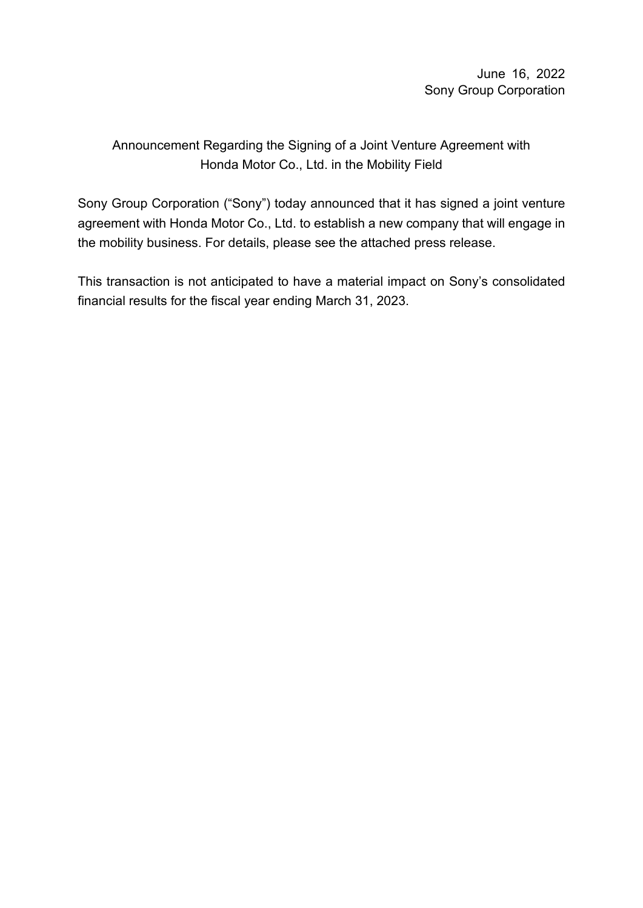June 16, 2022 Sony Group Corporation

# Announcement Regarding the Signing of a Joint Venture Agreement with Honda Motor Co., Ltd. in the Mobility Field

Sony Group Corporation ("Sony") today announced that it has signed a joint venture agreement with Honda Motor Co., Ltd. to establish a new company that will engage in the mobility business. For details, please see the attached press release.

This transaction is not anticipated to have a material impact on Sony's consolidated financial results for the fiscal year ending March 31, 2023.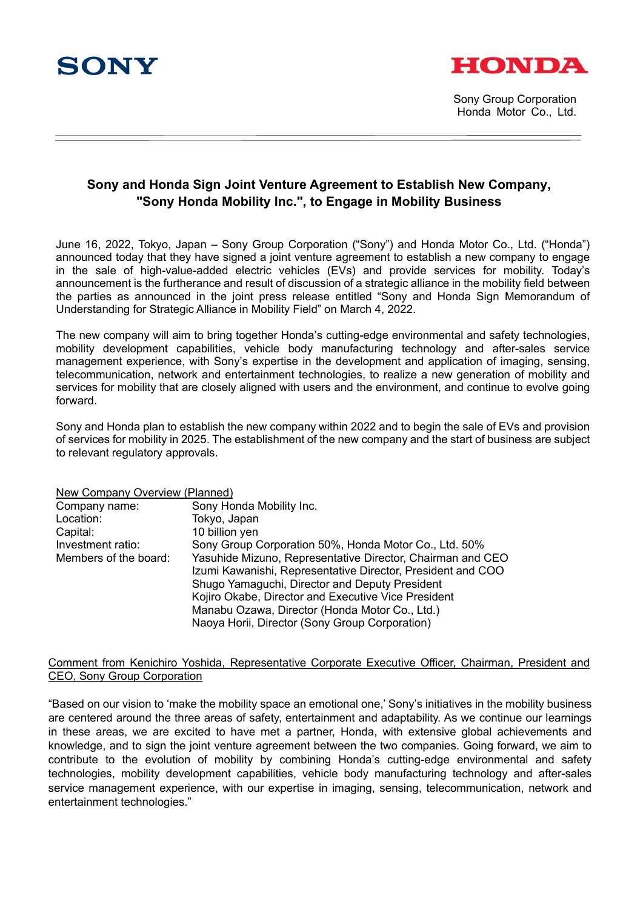



Sony Group Corporation Honda Motor Co., Ltd.

# **Sony and Honda Sign Joint Venture Agreement to Establish New Company, "Sony Honda Mobility Inc.", to Engage in Mobility Business**

June 16, 2022, Tokyo, Japan – Sony Group Corporation ("Sony") and Honda Motor Co., Ltd. ("Honda") announced today that they have signed a joint venture agreement to establish a new company to engage in the sale of high-value-added electric vehicles (EVs) and provide services for mobility. Today's announcement is the furtherance and result of discussion of a strategic alliance in the mobility field between the parties as announced in the joint press release entitled "Sony and Honda Sign Memorandum of Understanding for Strategic Alliance in Mobility Field" on March 4, 2022.

The new company will aim to bring together Honda's cutting-edge environmental and safety technologies, mobility development capabilities, vehicle body manufacturing technology and after-sales service management experience, with Sony's expertise in the development and application of imaging, sensing, telecommunication, network and entertainment technologies, to realize a new generation of mobility and services for mobility that are closely aligned with users and the environment, and continue to evolve going forward.

Sony and Honda plan to establish the new company within 2022 and to begin the sale of EVs and provision of services for mobility in 2025. The establishment of the new company and the start of business are subject to relevant regulatory approvals.

# New Company Overview (Planned)

| <u>NCW Company Overview (Fighted)</u> |                                                                                                                                                                                                                                                                                                                                        |
|---------------------------------------|----------------------------------------------------------------------------------------------------------------------------------------------------------------------------------------------------------------------------------------------------------------------------------------------------------------------------------------|
| Company name:                         | Sony Honda Mobility Inc.                                                                                                                                                                                                                                                                                                               |
| Location:                             | Tokyo, Japan                                                                                                                                                                                                                                                                                                                           |
| Capital:                              | 10 billion yen                                                                                                                                                                                                                                                                                                                         |
| Investment ratio:                     | Sony Group Corporation 50%, Honda Motor Co., Ltd. 50%                                                                                                                                                                                                                                                                                  |
| Members of the board:                 | Yasuhide Mizuno, Representative Director, Chairman and CEO<br>Izumi Kawanishi, Representative Director, President and COO<br>Shugo Yamaguchi, Director and Deputy President<br>Kojiro Okabe, Director and Executive Vice President<br>Manabu Ozawa, Director (Honda Motor Co., Ltd.)<br>Naoya Horii, Director (Sony Group Corporation) |

#### Comment from Kenichiro Yoshida, Representative Corporate Executive Officer, Chairman, President and CEO, Sony Group Corporation

"Based on our vision to 'make the mobility space an emotional one,' Sony's initiatives in the mobility business are centered around the three areas of safety, entertainment and adaptability. As we continue our learnings in these areas, we are excited to have met a partner, Honda, with extensive global achievements and knowledge, and to sign the joint venture agreement between the two companies. Going forward, we aim to contribute to the evolution of mobility by combining Honda's cutting-edge environmental and safety technologies, mobility development capabilities, vehicle body manufacturing technology and after-sales service management experience, with our expertise in imaging, sensing, telecommunication, network and entertainment technologies."